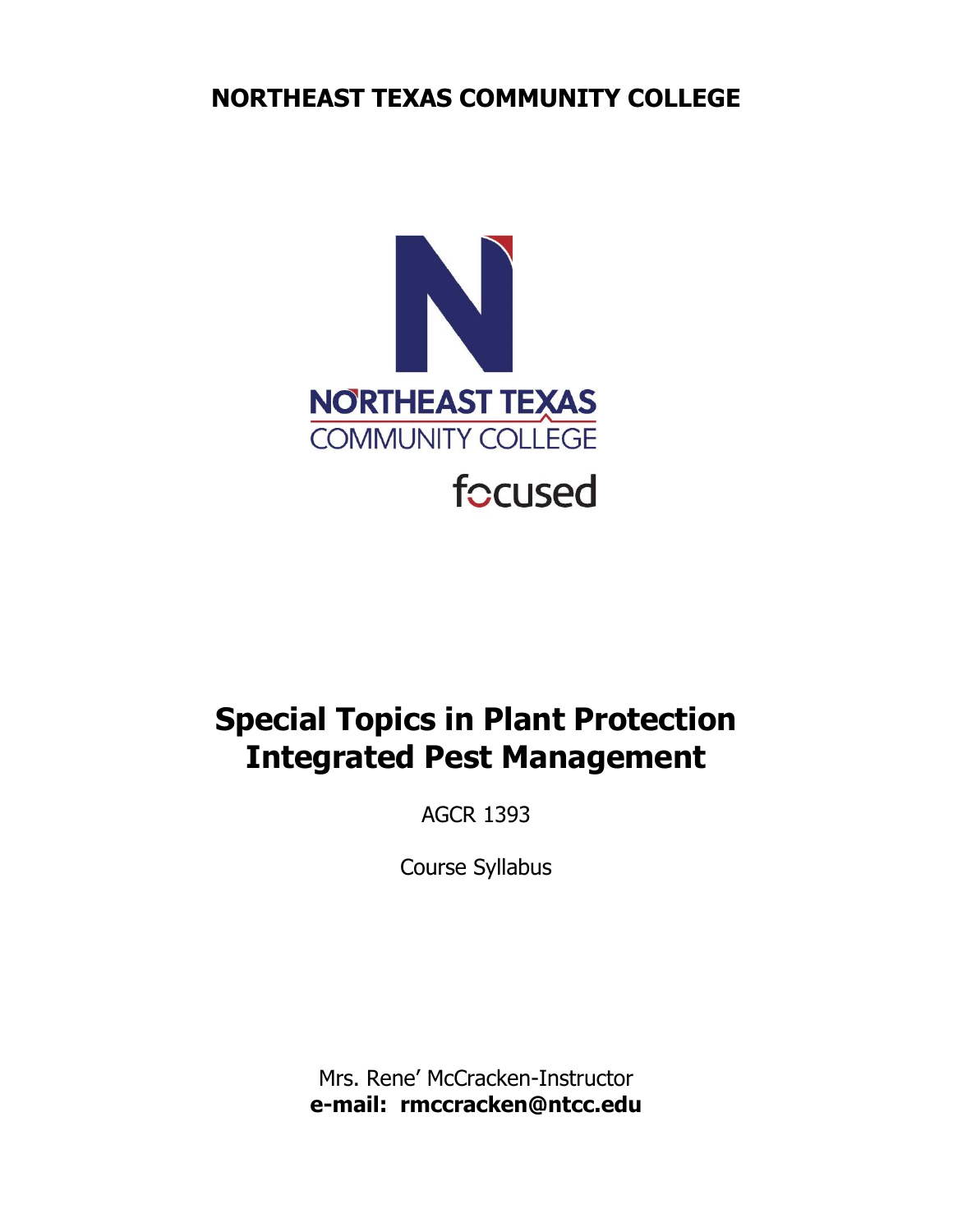## **NORTHEAST TEXAS COMMUNITY COLLEGE**



# **Special Topics in Plant Protection Integrated Pest Management**

AGCR 1393

Course Syllabus

Mrs. Rene' McCracken-Instructor **e-mail: rmccracken@ntcc.edu**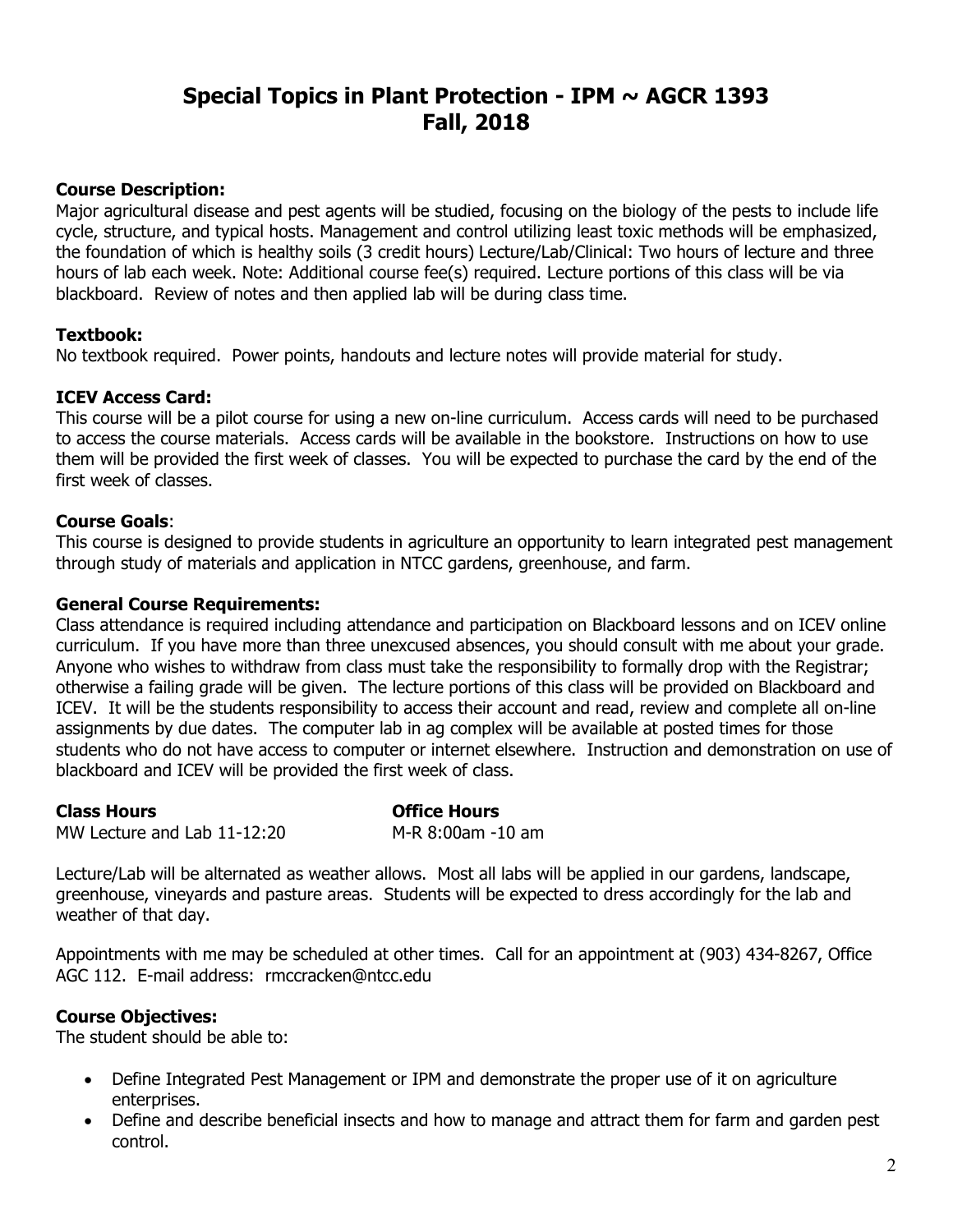### **Special Topics in Plant Protection - IPM ~ AGCR 1393 Fall, 2018**

#### **Course Description:**

Major agricultural disease and pest agents will be studied, focusing on the biology of the pests to include life cycle, structure, and typical hosts. Management and control utilizing least toxic methods will be emphasized, the foundation of which is healthy soils (3 credit hours) Lecture/Lab/Clinical: Two hours of lecture and three hours of lab each week. Note: Additional course fee(s) required. Lecture portions of this class will be via blackboard. Review of notes and then applied lab will be during class time.

#### **Textbook:**

No textbook required. Power points, handouts and lecture notes will provide material for study.

#### **ICEV Access Card:**

This course will be a pilot course for using a new on-line curriculum. Access cards will need to be purchased to access the course materials. Access cards will be available in the bookstore. Instructions on how to use them will be provided the first week of classes. You will be expected to purchase the card by the end of the first week of classes.

#### **Course Goals**:

This course is designed to provide students in agriculture an opportunity to learn integrated pest management through study of materials and application in NTCC gardens, greenhouse, and farm.

#### **General Course Requirements:**

Class attendance is required including attendance and participation on Blackboard lessons and on ICEV online curriculum. If you have more than three unexcused absences, you should consult with me about your grade. Anyone who wishes to withdraw from class must take the responsibility to formally drop with the Registrar; otherwise a failing grade will be given. The lecture portions of this class will be provided on Blackboard and ICEV. It will be the students responsibility to access their account and read, review and complete all on-line assignments by due dates. The computer lab in ag complex will be available at posted times for those students who do not have access to computer or internet elsewhere. Instruction and demonstration on use of blackboard and ICEV will be provided the first week of class.

**Class Hours Office Hours** MW Lecture and Lab 11-12:20 M-R 8:00am -10 am

Lecture/Lab will be alternated as weather allows. Most all labs will be applied in our gardens, landscape, greenhouse, vineyards and pasture areas. Students will be expected to dress accordingly for the lab and weather of that day.

Appointments with me may be scheduled at other times. Call for an appointment at (903) 434-8267, Office AGC 112. E-mail address: rmccracken@ntcc.edu

#### **Course Objectives:**

The student should be able to:

- Define Integrated Pest Management or IPM and demonstrate the proper use of it on agriculture enterprises.
- Define and describe beneficial insects and how to manage and attract them for farm and garden pest control.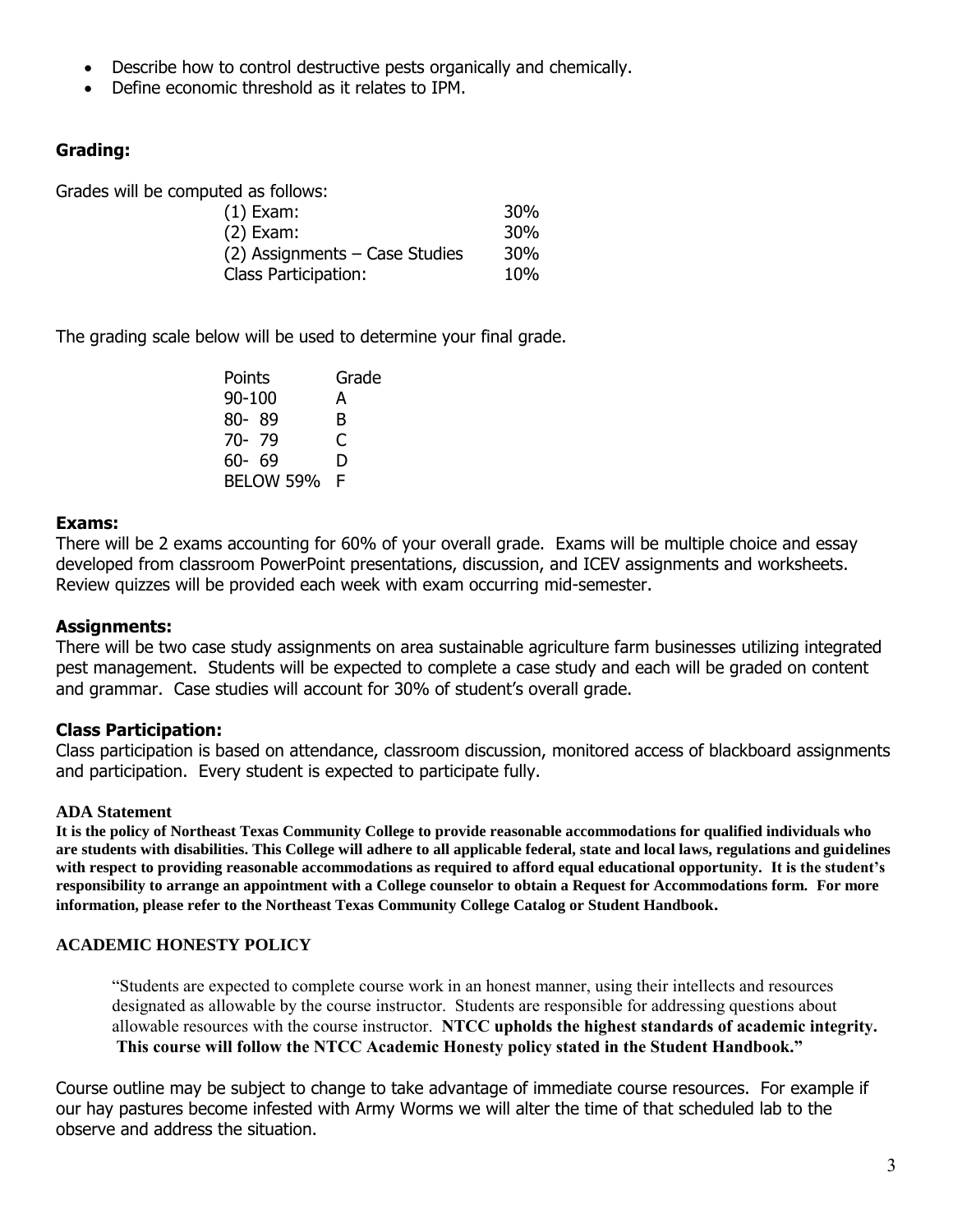- Describe how to control destructive pests organically and chemically.
- Define economic threshold as it relates to IPM.

#### **Grading:**

Grades will be computed as follows:

| $(1)$ Exam:                      | 30 <sub>%</sub> |
|----------------------------------|-----------------|
| $(2)$ Exam:                      | 30%             |
| $(2)$ Assignments – Case Studies | 30%             |
| Class Participation:             | 10%             |

The grading scale below will be used to determine your final grade.

Points Grade 90-100 A 80- 89 B 70- 79 C 60- 69 D BELOW 59% F

#### **Exams:**

There will be 2 exams accounting for 60% of your overall grade. Exams will be multiple choice and essay developed from classroom PowerPoint presentations, discussion, and ICEV assignments and worksheets. Review quizzes will be provided each week with exam occurring mid-semester.

#### **Assignments:**

There will be two case study assignments on area sustainable agriculture farm businesses utilizing integrated pest management. Students will be expected to complete a case study and each will be graded on content and grammar. Case studies will account for 30% of student's overall grade.

#### **Class Participation:**

Class participation is based on attendance, classroom discussion, monitored access of blackboard assignments and participation. Every student is expected to participate fully.

#### **ADA Statement**

**It is the policy of Northeast Texas Community College to provide reasonable accommodations for qualified individuals who are students with disabilities. This College will adhere to all applicable federal, state and local laws, regulations and guidelines with respect to providing reasonable accommodations as required to afford equal educational opportunity. It is the student's responsibility to arrange an appointment with a College counselor to obtain a Request for Accommodations form. For more information, please refer to the Northeast Texas Community College Catalog or Student Handbook.**

#### **ACADEMIC HONESTY POLICY**

"Students are expected to complete course work in an honest manner, using their intellects and resources designated as allowable by the course instructor. Students are responsible for addressing questions about allowable resources with the course instructor. **NTCC upholds the highest standards of academic integrity. This course will follow the NTCC Academic Honesty policy stated in the Student Handbook."**

Course outline may be subject to change to take advantage of immediate course resources. For example if our hay pastures become infested with Army Worms we will alter the time of that scheduled lab to the observe and address the situation.